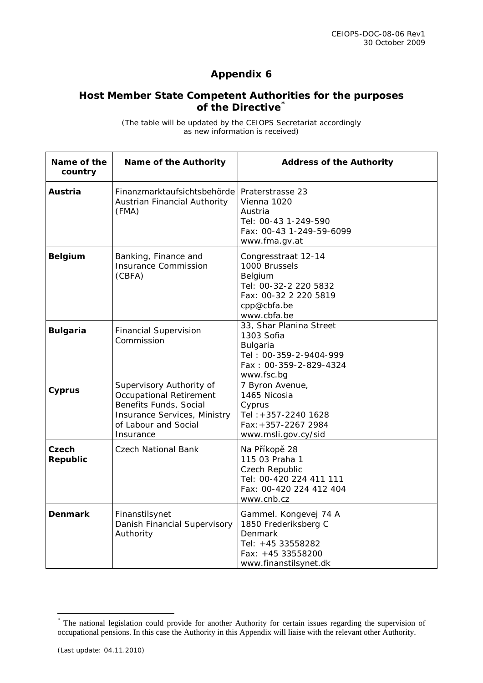## **Appendix 6**

## **Host Member State Competent Authorities for the purposes of the Directive[\\*](#page-0-0)**

(The table will be updated by the CEIOPS Secretariat accordingly as new information is received)

| Name of the<br>country | <b>Name of the Authority</b>                                                                                                                              | <b>Address of the Authority</b>                                                                                                 |
|------------------------|-----------------------------------------------------------------------------------------------------------------------------------------------------------|---------------------------------------------------------------------------------------------------------------------------------|
| Austria                | Finanzmarktaufsichtsbehörde<br>Austrian Financial Authority<br>(FMA)                                                                                      | Praterstrasse 23<br>Vienna 1020<br>Austria<br>Tel: 00-43 1-249-590<br>Fax: 00-43 1-249-59-6099<br>www.fma.gv.at                 |
| <b>Belgium</b>         | Banking, Finance and<br><b>Insurance Commission</b><br>(CBFA)                                                                                             | Congresstraat 12-14<br>1000 Brussels<br>Belgium<br>Tel: 00-32-2 220 5832<br>Fax: 00-32 2 220 5819<br>cpp@cbfa.be<br>www.cbfa.be |
| <b>Bulgaria</b>        | <b>Financial Supervision</b><br>Commission                                                                                                                | 33, Shar Planina Street<br>1303 Sofia<br>Bulgaria<br>Tel: 00-359-2-9404-999<br>Fax: 00-359-2-829-4324<br>www.fsc.bg             |
| <b>Cyprus</b>          | Supervisory Authority of<br><b>Occupational Retirement</b><br>Benefits Funds, Social<br>Insurance Services, Ministry<br>of Labour and Social<br>Insurance | 7 Byron Avenue,<br>1465 Nicosia<br>Cyprus<br>Tel: +357-2240 1628<br>Fax: +357-2267 2984<br>www.msli.gov.cy/sid                  |
| Czech<br>Republic      | Czech National Bank                                                                                                                                       | Na Příkopě 28<br>115 03 Praha 1<br>Czech Republic<br>Tel: 00-420 224 411 111<br>Fax: 00-420 224 412 404<br>www.cnb.cz           |
| <b>Denmark</b>         | Finanstilsynet<br>Danish Financial Supervisory<br>Authority                                                                                               | Gammel. Kongevej 74 A<br>1850 Frederiksberg C<br>Denmark<br>Tel: +45 33558282<br>Fax: +45 33558200<br>www.finanstilsynet.dk     |

<span id="page-0-0"></span> <sup>\*</sup> The national legislation could provide for another Authority for certain issues regarding the supervision of occupational pensions. In this case the Authority in this Appendix will liaise with the relevant other Authority.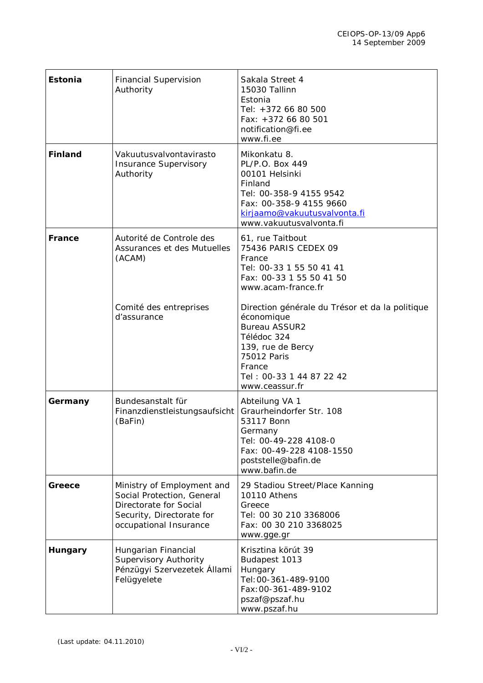| Estonia        | <b>Financial Supervision</b><br>Authority                                                                                                 | Sakala Street 4<br>15030 Tallinn<br>Estonia<br>Tel: +372 66 80 500<br>Fax: +372 66 80 501<br>notification@fi.ee<br>www.fi.ee                                                                     |
|----------------|-------------------------------------------------------------------------------------------------------------------------------------------|--------------------------------------------------------------------------------------------------------------------------------------------------------------------------------------------------|
| <b>Finland</b> | Vakuutusvalvontavirasto<br><b>Insurance Supervisory</b><br>Authority                                                                      | Mikonkatu 8.<br>PL/P.O. Box 449<br>00101 Helsinki<br>Finland<br>Tel: 00-358-9 4155 9542<br>Fax: 00-358-9 4155 9660<br>kirjaamo@vakuutusvalvonta.fi<br>www.vakuutusvalvonta.fi                    |
| <b>France</b>  | Autorité de Controle des<br>Assurances et des Mutuelles<br>(ACAM)                                                                         | 61, rue Taitbout<br>75436 PARIS CEDEX 09<br>France<br>Tel: 00-33 1 55 50 41 41<br>Fax: 00-33 1 55 50 41 50<br>www.acam-france.fr                                                                 |
|                | Comité des entreprises<br>d'assurance                                                                                                     | Direction générale du Trésor et da la politique<br>économique<br><b>Bureau ASSUR2</b><br>Télédoc 324<br>139, rue de Bercy<br>75012 Paris<br>France<br>Tel: 00-33 1 44 87 22 42<br>www.ceassur.fr |
| Germany        | Bundesanstalt für<br>Finanzdienstleistungsaufsicht<br>(BaFin)                                                                             | Abteilung VA 1<br>Graurheindorfer Str. 108<br>53117 Bonn<br>Germany<br>Tel: 00-49-228 4108-0<br>Fax: 00-49-228 4108-1550<br>poststelle@bafin.de<br>www.bafin.de                                  |
| Greece         | Ministry of Employment and<br>Social Protection, General<br>Directorate for Social<br>Security, Directorate for<br>occupational Insurance | 29 Stadiou Street/Place Kanning<br>10110 Athens<br>Greece<br>Tel: 00 30 210 3368006<br>Fax: 00 30 210 3368025<br>www.gge.gr                                                                      |
| Hungary        | Hungarian Financial<br>Supervisory Authority<br>Pénzügyi Szervezetek Állami<br>Felügyelete                                                | Krisztina körút 39<br>Budapest 1013<br>Hungary<br>Tel: 00-361-489-9100<br>Fax: 00-361-489-9102<br>pszaf@pszaf.hu<br>www.pszaf.hu                                                                 |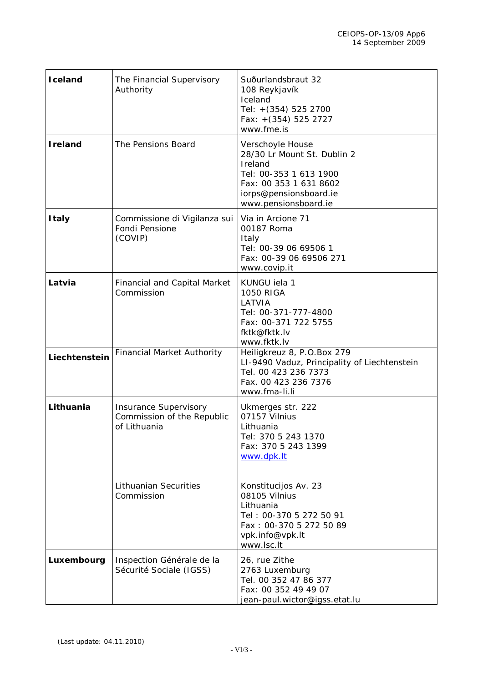| Iceland         | The Financial Supervisory<br>Authority                                     | Suðurlandsbraut 32<br>108 Reykjavík<br>Iceland<br>Tel: +(354) 525 2700<br>Fax: +(354) 525 2727<br>www.fme.is                                                     |
|-----------------|----------------------------------------------------------------------------|------------------------------------------------------------------------------------------------------------------------------------------------------------------|
| <b>I</b> reland | The Pensions Board                                                         | Verschoyle House<br>28/30 Lr Mount St. Dublin 2<br>Ireland<br>Tel: 00-353 1 613 1900<br>Fax: 00 353 1 631 8602<br>iorps@pensionsboard.ie<br>www.pensionsboard.ie |
| <b>Italy</b>    | Commissione di Vigilanza sui<br>Fondi Pensione<br>(COVIP)                  | Via in Arcione 71<br>00187 Roma<br>Italy<br>Tel: 00-39 06 69506 1<br>Fax: 00-39 06 69506 271<br>www.covip.it                                                     |
| Latvia          | <b>Financial and Capital Market</b><br>Commission                          | KUNGU iela 1<br><b>1050 RIGA</b><br>LATVIA<br>Tel: 00-371-777-4800<br>Fax: 00-371 722 5755<br>fktk@fktk.lv<br>www.fktk.lv                                        |
| Liechtenstein   | <b>Financial Market Authority</b>                                          | Heiligkreuz 8, P.O.Box 279<br>LI-9490 Vaduz, Principality of Liechtenstein<br>Tel. 00 423 236 7373<br>Fax. 00 423 236 7376<br>www.fma-li.li                      |
| Lithuania       | <b>Insurance Supervisory</b><br>Commission of the Republic<br>of Lithuania | Ukmerges str. 222<br>07157 Vilnius<br>Lithuania<br>Tel: 370 5 243 1370<br>Fax: 370 5 243 1399<br>www.dpk.lt                                                      |
|                 | <b>Lithuanian Securities</b><br>Commission                                 | Konstitucijos Av. 23<br>08105 Vilnius<br>Lithuania<br>Tel: 00-370 5 272 50 91<br>Fax: 00-370 5 272 50 89<br>vpk.info@vpk.lt<br>www.lsc.lt                        |
| Luxembourg      | Inspection Générale de la<br>Sécurité Sociale (IGSS)                       | 26, rue Zithe<br>2763 Luxemburg<br>Tel. 00 352 47 86 377<br>Fax: 00 352 49 49 07<br>jean-paul.wictor@igss.etat.lu                                                |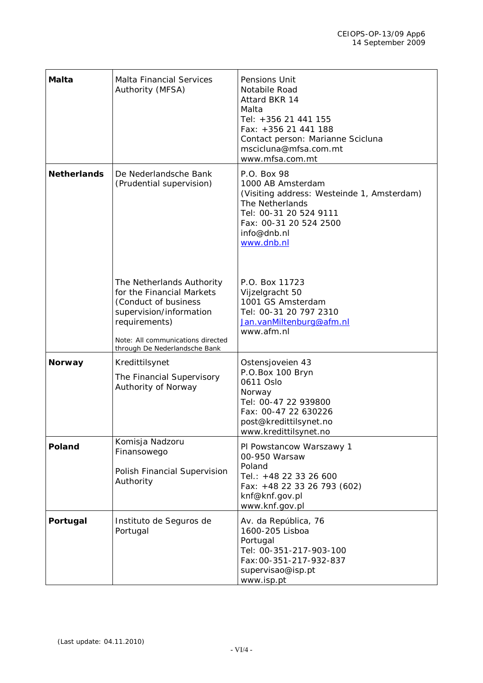| Malta              | <b>Malta Financial Services</b><br>Authority (MFSA)                                                                                                                                              | Pensions Unit<br>Notabile Road<br>Attard BKR 14<br>Malta<br>Tel: +356 21 441 155<br>Fax: +356 21 441 188<br>Contact person: Marianne Scicluna<br>mscicluna@mfsa.com.mt<br>www.mfsa.com.mt |
|--------------------|--------------------------------------------------------------------------------------------------------------------------------------------------------------------------------------------------|-------------------------------------------------------------------------------------------------------------------------------------------------------------------------------------------|
| <b>Netherlands</b> | De Nederlandsche Bank<br>(Prudential supervision)                                                                                                                                                | P.O. Box 98<br>1000 AB Amsterdam<br>(Visiting address: Westeinde 1, Amsterdam)<br>The Netherlands<br>Tel: 00-31 20 524 9111<br>Fax: 00-31 20 524 2500<br>info@dnb.nl<br>www.dnb.nl        |
|                    | The Netherlands Authority<br>for the Financial Markets<br>(Conduct of business<br>supervision/information<br>requirements)<br>Note: All communications directed<br>through De Nederlandsche Bank | P.O. Box 11723<br>Vijzelgracht 50<br>1001 GS Amsterdam<br>Tel: 00-31 20 797 2310<br>Jan.vanMiltenburg@afm.nl<br>www.afm.nl                                                                |
| <b>Norway</b>      | Kredittilsynet<br>The Financial Supervisory<br>Authority of Norway                                                                                                                               | Ostensjoveien 43<br>P.O.Box 100 Bryn<br>0611 Oslo<br>Norway<br>Tel: 00-47 22 939800<br>Fax: 00-47 22 630226<br>post@kredittilsynet.no<br>www.kredittilsynet.no                            |
| Poland             | Komisja Nadzoru<br>Finansowego<br>Polish Financial Supervision<br>Authority                                                                                                                      | PI Powstancow Warszawy 1<br>00-950 Warsaw<br>Poland<br>Tel.: +48 22 33 26 600<br>Fax: +48 22 33 26 793 (602)<br>knf@knf.gov.pl<br>www.knf.gov.pl                                          |
| Portugal           | Instituto de Seguros de<br>Portugal                                                                                                                                                              | Av. da República, 76<br>1600-205 Lisboa<br>Portugal<br>Tel: 00-351-217-903-100<br>Fax: 00-351-217-932-837<br>supervisao@isp.pt<br>www.isp.pt                                              |